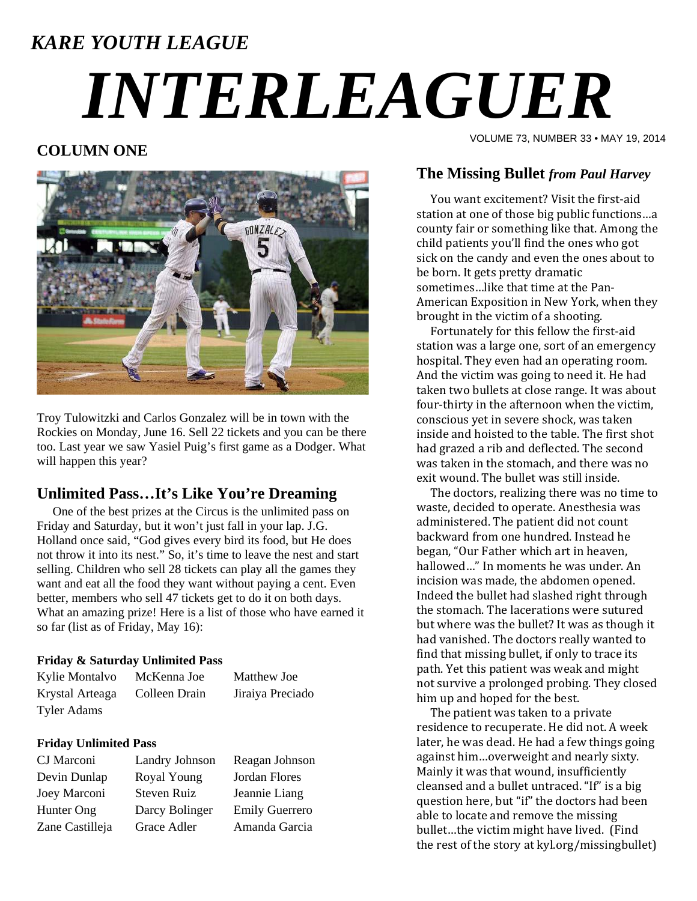# *KARE YOUTH LEAGUE INTERLEAGUER*

# **COLUMN ONE**



Troy Tulowitzki and Carlos Gonzalez will be in town with the Rockies on Monday, June 16. Sell 22 tickets and you can be there too. Last year we saw Yasiel Puig's first game as a Dodger. What will happen this year?

## **Unlimited Pass…It's Like You're Dreaming**

 One of the best prizes at the Circus is the unlimited pass on Friday and Saturday, but it won't just fall in your lap. J.G. Holland once said, "God gives every bird its food, but He does not throw it into its nest." So, it's time to leave the nest and start selling. Children who sell 28 tickets can play all the games they want and eat all the food they want without paying a cent. Even better, members who sell 47 tickets get to do it on both days. What an amazing prize! Here is a list of those who have earned it so far (list as of Friday, May 16):

### **Friday & Saturday Unlimited Pass**

| Kylie Montalvo     | McKenna Joe   | Matthew Joe      |
|--------------------|---------------|------------------|
| Krystal Arteaga    | Colleen Drain | Jiraiya Preciado |
| <b>Tyler Adams</b> |               |                  |

### **Friday Unlimited Pass**

| CJ Marconi      | Landry Johnson | Reagan Johnson        |
|-----------------|----------------|-----------------------|
| Devin Dunlap    | Royal Young    | Jordan Flores         |
| Joey Marconi    | Steven Ruiz    | Jeannie Liang         |
| Hunter Ong      | Darcy Bolinger | <b>Emily Guerrero</b> |
| Zane Castilleja | Grace Adler    | Amanda Garcia         |

VOLUME 73, NUMBER 33 • MAY 19, 2014

### **The Missing Bullet** *from Paul Harvey*

You want excitement? Visit the first-aid station at one of those big public functions...a county fair or something like that. Among the child patients you'll find the ones who got sick on the candy and even the ones about to be born. It gets pretty dramatic sometimes...like that time at the Pan-American Exposition in New York, when they brought in the victim of a shooting.

Fortunately for this fellow the first-aid station was a large one, sort of an emergency hospital. They even had an operating room. And the victim was going to need it. He had taken two bullets at close range. It was about four-thirty in the afternoon when the victim, conscious yet in severe shock, was taken inside and hoisted to the table. The first shot had grazed a rib and deflected. The second was taken in the stomach, and there was no exit wound. The bullet was still inside.

The doctors, realizing there was no time to waste, decided to operate. Anesthesia was administered. The patient did not count backward from one hundred. Instead he began, "Our Father which art in heaven, hallowed..." In moments he was under. An incision was made, the abdomen opened. Indeed the bullet had slashed right through the stomach. The lacerations were sutured but where was the bullet? It was as though it had vanished. The doctors really wanted to find that missing bullet, if only to trace its path. Yet this patient was weak and might not survive a prolonged probing. They closed him up and hoped for the best.

The patient was taken to a private residence to recuperate. He did not. A week later, he was dead. He had a few things going against him...overweight and nearly sixty. Mainly it was that wound, insufficiently cleansed and a bullet untraced. "If" is a big question here, but "if" the doctors had been able to locate and remove the missing bullet...the victim might have lived. (Find the rest of the story at kyl.org/missingbullet)